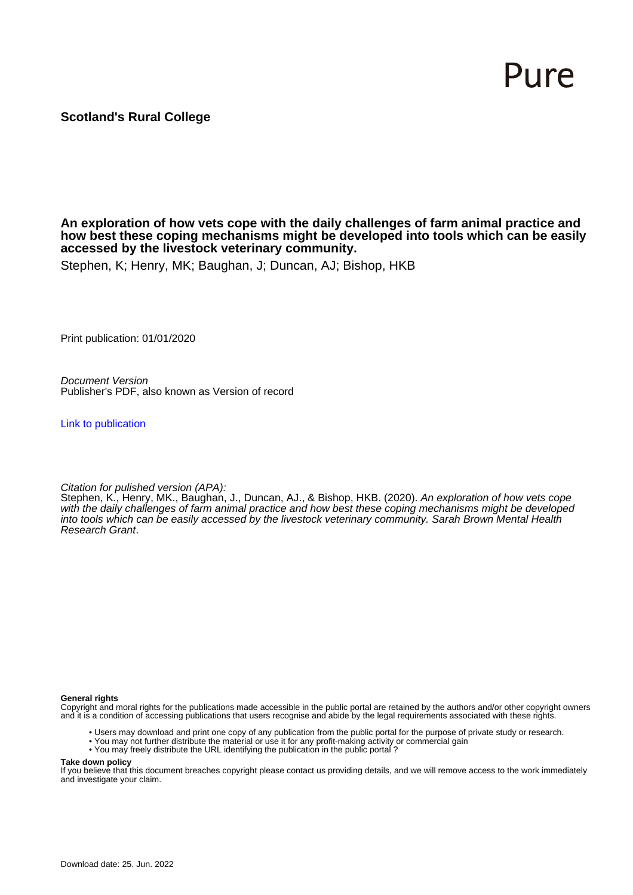# Pure

# **Scotland's Rural College**

#### **An exploration of how vets cope with the daily challenges of farm animal practice and how best these coping mechanisms might be developed into tools which can be easily accessed by the livestock veterinary community.**

Stephen, K; Henry, MK; Baughan, J; Duncan, AJ; Bishop, HKB

Print publication: 01/01/2020

Document Version Publisher's PDF, also known as Version of record

[Link to publication](https://pure.sruc.ac.uk/en/publications/c41c1ef6-a76b-4423-831d-6cd9d9a84603)

Citation for pulished version (APA):

Stephen, K., Henry, MK., Baughan, J., Duncan, AJ., & Bishop, HKB. (2020). An exploration of how vets cope with the daily challenges of farm animal practice and how best these coping mechanisms might be developed into tools which can be easily accessed by the livestock veterinary community. Sarah Brown Mental Health Research Grant.

**General rights**

Copyright and moral rights for the publications made accessible in the public portal are retained by the authors and/or other copyright owners and it is a condition of accessing publications that users recognise and abide by the legal requirements associated with these rights.

- Users may download and print one copy of any publication from the public portal for the purpose of private study or research.
- You may not further distribute the material or use it for any profit-making activity or commercial gain
- You may freely distribute the URL identifying the publication in the public portal ?

#### **Take down policy**

If you believe that this document breaches copyright please contact us providing details, and we will remove access to the work immediately and investigate your claim.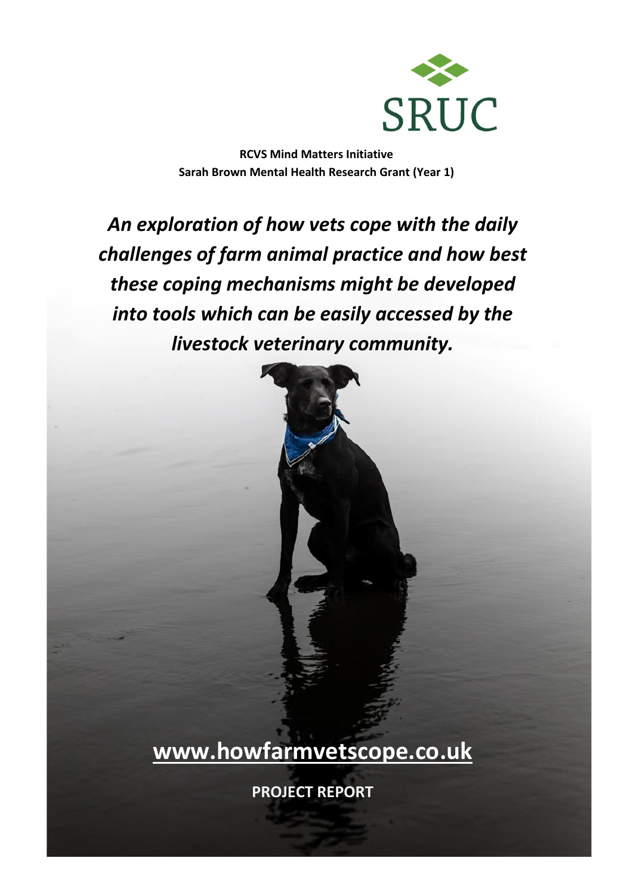

**RCVS Mind Matters Initiative Sarah Brown Mental Health Research Grant (Year 1)**

*An exploration of how vets cope with the daily challenges of farm animal practice and how best these coping mechanisms might be developed into tools which can be easily accessed by the livestock veterinary community.*



**[www.howfarmvetscope.co.uk](http://www.howfarmvetscope.co.uk/)** 

**PROJECT REPORT**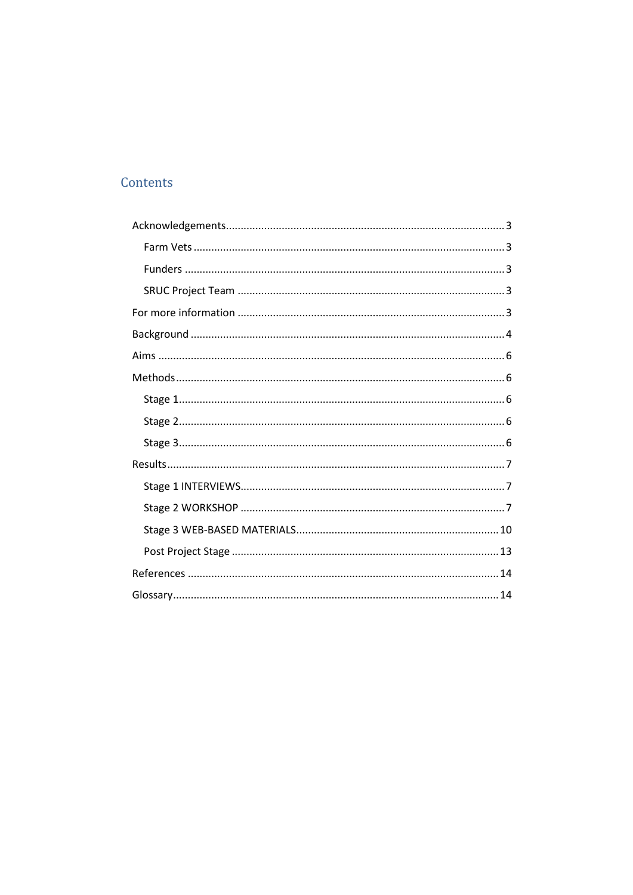# Contents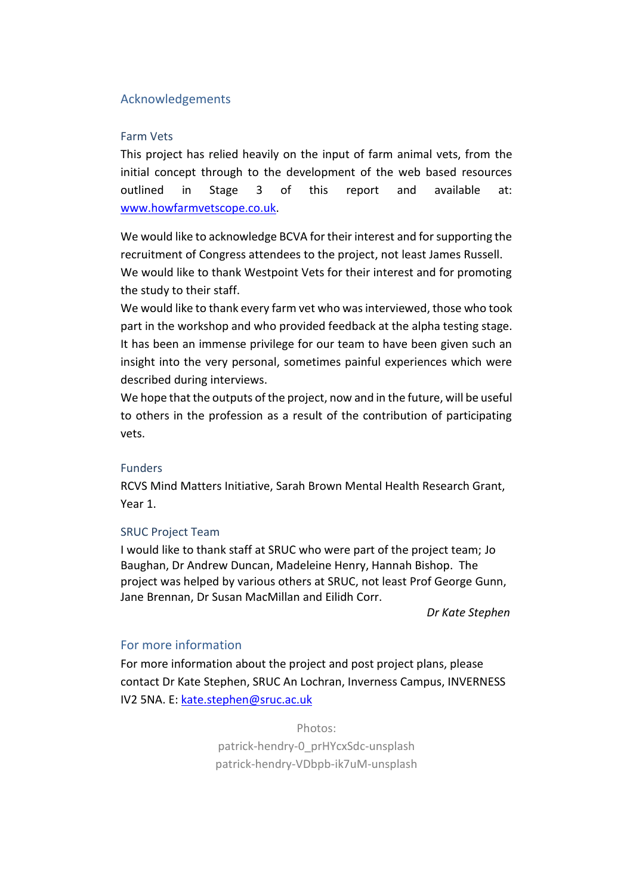# <span id="page-3-0"></span>Acknowledgements

#### <span id="page-3-1"></span>Farm Vets

This project has relied heavily on the input of farm animal vets, from the initial concept through to the development of the web based resources outlined in Stage 3 of this report and available at: [www.howfarmvetscope.co.uk.](http://www.howfarmvetscope.co.uk/)

We would like to acknowledge BCVA for their interest and for supporting the recruitment of Congress attendees to the project, not least James Russell. We would like to thank Westpoint Vets for their interest and for promoting the study to their staff.

We would like to thank every farm vet who was interviewed, those who took part in the workshop and who provided feedback at the alpha testing stage. It has been an immense privilege for our team to have been given such an insight into the very personal, sometimes painful experiences which were described during interviews.

We hope that the outputs of the project, now and in the future, will be useful to others in the profession as a result of the contribution of participating vets.

# <span id="page-3-2"></span>Funders

RCVS Mind Matters Initiative, Sarah Brown Mental Health Research Grant, Year 1.

# <span id="page-3-3"></span>SRUC Project Team

I would like to thank staff at SRUC who were part of the project team; Jo Baughan, Dr Andrew Duncan, Madeleine Henry, Hannah Bishop. The project was helped by various others at SRUC, not least Prof George Gunn, Jane Brennan, Dr Susan MacMillan and Eilidh Corr.

*Dr Kate Stephen*

# <span id="page-3-4"></span>For more information

For more information about the project and post project plans, please contact Dr Kate Stephen, SRUC An Lochran, Inverness Campus, INVERNESS IV2 5NA. E: [kate.stephen@sruc.ac.uk](mailto:kate.stephen@sruc.ac.uk)

> Photos: patrick-hendry-0\_prHYcxSdc-unsplash patrick-hendry-VDbpb-ik7uM-unsplash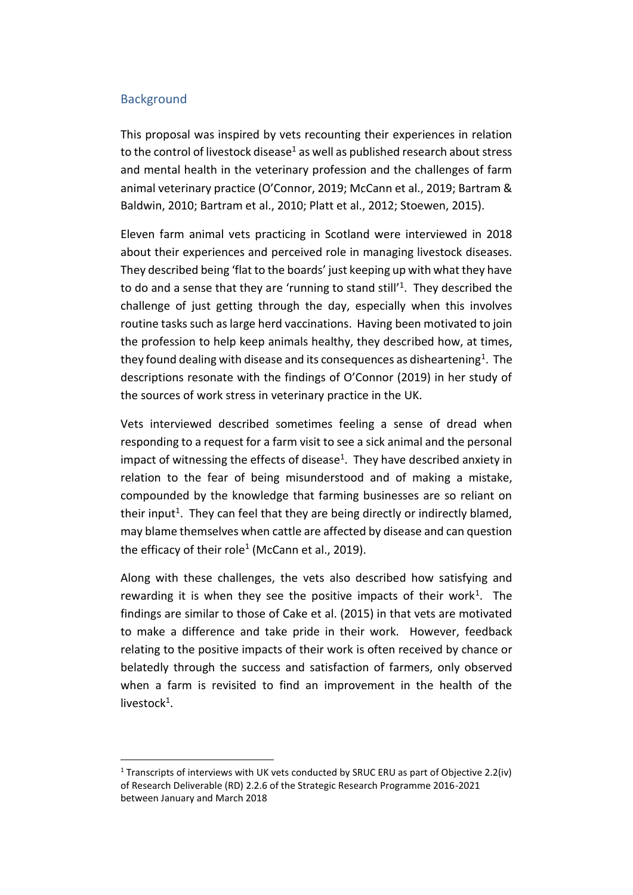# <span id="page-4-0"></span>**Background**

This proposal was inspired by vets recounting their experiences in relation to the control of livestock disease<sup>1</sup> as well as published research about stress and mental health in the veterinary profession and the challenges of farm animal veterinary practice (O'Connor, 2019; McCann et al., 2019; Bartram & Baldwin, 2010; Bartram et al., 2010; Platt et al., 2012; Stoewen, 2015).

Eleven farm animal vets practicing in Scotland were interviewed in 2018 about their experiences and perceived role in managing livestock diseases. They described being 'flat to the boards' just keeping up with what they have to do and a sense that they are 'running to stand still'<sup>1</sup>. They described the challenge of just getting through the day, especially when this involves routine tasks such as large herd vaccinations. Having been motivated to join the profession to help keep animals healthy, they described how, at times, they found dealing with disease and its consequences as disheartening<sup>1</sup>. The descriptions resonate with the findings of O'Connor (2019) in her study of the sources of work stress in veterinary practice in the UK.

Vets interviewed described sometimes feeling a sense of dread when responding to a request for a farm visit to see a sick animal and the personal impact of witnessing the effects of disease<sup>1</sup>. They have described anxiety in relation to the fear of being misunderstood and of making a mistake, compounded by the knowledge that farming businesses are so reliant on their input<sup>1</sup>. They can feel that they are being directly or indirectly blamed, may blame themselves when cattle are affected by disease and can question the efficacy of their role<sup>1</sup> (McCann et al., 2019).

Along with these challenges, the vets also described how satisfying and rewarding it is when they see the positive impacts of their work<sup>1</sup>. The findings are similar to those of Cake et al. (2015) in that vets are motivated to make a difference and take pride in their work. However, feedback relating to the positive impacts of their work is often received by chance or belatedly through the success and satisfaction of farmers, only observed when a farm is revisited to find an improvement in the health of the livestock<sup>1</sup>.

<sup>&</sup>lt;sup>1</sup> Transcripts of interviews with UK vets conducted by SRUC ERU as part of Objective 2.2(iv) of Research Deliverable (RD) 2.2.6 of the Strategic Research Programme 2016-2021 between January and March 2018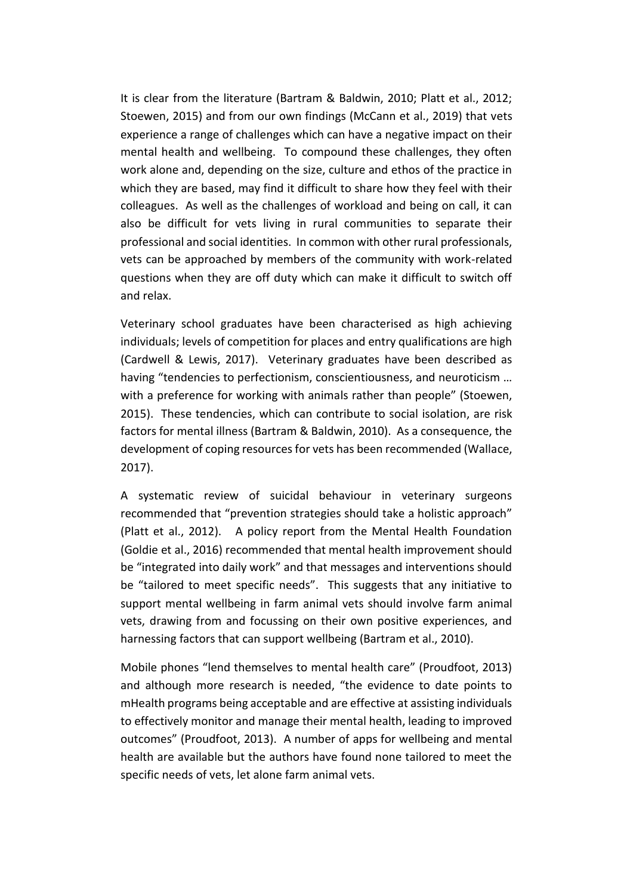It is clear from the literature (Bartram & Baldwin, 2010; Platt et al., 2012; Stoewen, 2015) and from our own findings (McCann et al., 2019) that vets experience a range of challenges which can have a negative impact on their mental health and wellbeing. To compound these challenges, they often work alone and, depending on the size, culture and ethos of the practice in which they are based, may find it difficult to share how they feel with their colleagues. As well as the challenges of workload and being on call, it can also be difficult for vets living in rural communities to separate their professional and social identities. In common with other rural professionals, vets can be approached by members of the community with work-related questions when they are off duty which can make it difficult to switch off and relax.

Veterinary school graduates have been characterised as high achieving individuals; levels of competition for places and entry qualifications are high (Cardwell & Lewis, 2017). Veterinary graduates have been described as having "tendencies to perfectionism, conscientiousness, and neuroticism … with a preference for working with animals rather than people" (Stoewen, 2015). These tendencies, which can contribute to social isolation, are risk factors for mental illness (Bartram & Baldwin, 2010). As a consequence, the development of coping resources for vets has been recommended (Wallace, 2017).

A systematic review of suicidal behaviour in veterinary surgeons recommended that "prevention strategies should take a holistic approach" (Platt et al., 2012). A policy report from the Mental Health Foundation (Goldie et al., 2016) recommended that mental health improvement should be "integrated into daily work" and that messages and interventions should be "tailored to meet specific needs". This suggests that any initiative to support mental wellbeing in farm animal vets should involve farm animal vets, drawing from and focussing on their own positive experiences, and harnessing factors that can support wellbeing (Bartram et al., 2010).

Mobile phones "lend themselves to mental health care" (Proudfoot, 2013) and although more research is needed, "the evidence to date points to mHealth programs being acceptable and are effective at assisting individuals to effectively monitor and manage their mental health, leading to improved outcomes" (Proudfoot, 2013). A number of apps for wellbeing and mental health are available but the authors have found none tailored to meet the specific needs of vets, let alone farm animal vets.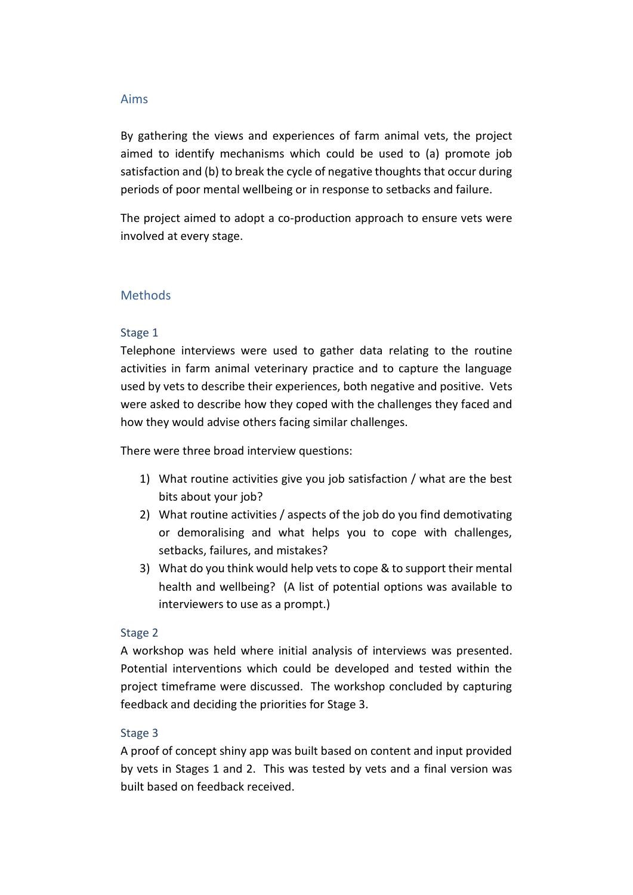#### <span id="page-6-0"></span>Aims

By gathering the views and experiences of farm animal vets, the project aimed to identify mechanisms which could be used to (a) promote job satisfaction and (b) to break the cycle of negative thoughts that occur during periods of poor mental wellbeing or in response to setbacks and failure.

The project aimed to adopt a co-production approach to ensure vets were involved at every stage.

# <span id="page-6-1"></span>**Methods**

# <span id="page-6-2"></span>Stage 1

Telephone interviews were used to gather data relating to the routine activities in farm animal veterinary practice and to capture the language used by vets to describe their experiences, both negative and positive. Vets were asked to describe how they coped with the challenges they faced and how they would advise others facing similar challenges.

There were three broad interview questions:

- 1) What routine activities give you job satisfaction / what are the best bits about your job?
- 2) What routine activities / aspects of the job do you find demotivating or demoralising and what helps you to cope with challenges, setbacks, failures, and mistakes?
- 3) What do you think would help vets to cope & to support their mental health and wellbeing? (A list of potential options was available to interviewers to use as a prompt.)

# <span id="page-6-3"></span>Stage 2

A workshop was held where initial analysis of interviews was presented. Potential interventions which could be developed and tested within the project timeframe were discussed. The workshop concluded by capturing feedback and deciding the priorities for Stage 3.

# <span id="page-6-4"></span>Stage 3

A proof of concept shiny app was built based on content and input provided by vets in Stages 1 and 2. This was tested by vets and a final version was built based on feedback received.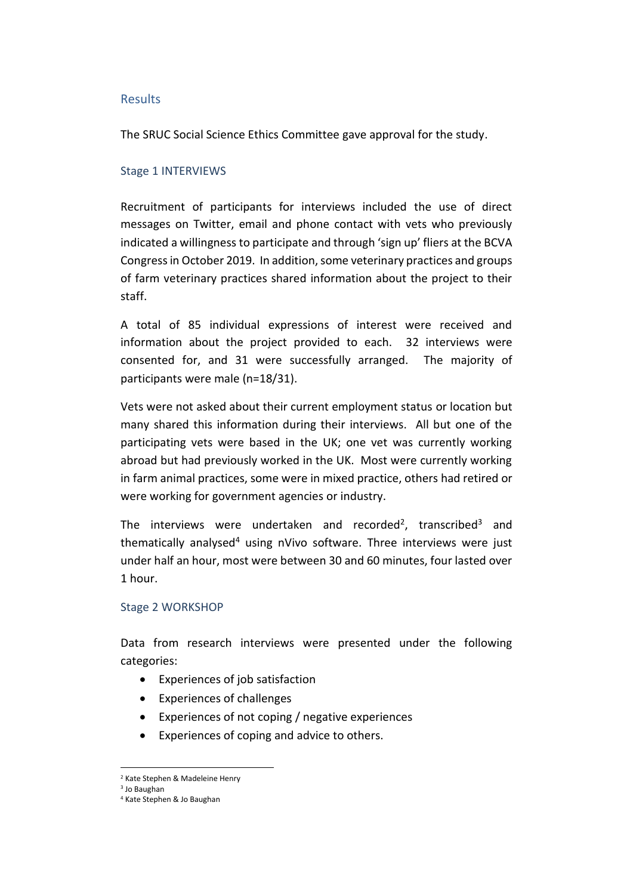#### <span id="page-7-0"></span>Results

The SRUC Social Science Ethics Committee gave approval for the study.

# <span id="page-7-1"></span>Stage 1 INTERVIEWS

Recruitment of participants for interviews included the use of direct messages on Twitter, email and phone contact with vets who previously indicated a willingness to participate and through 'sign up' fliers at the BCVA Congress in October 2019. In addition, some veterinary practices and groups of farm veterinary practices shared information about the project to their staff.

A total of 85 individual expressions of interest were received and information about the project provided to each. 32 interviews were consented for, and 31 were successfully arranged. The majority of participants were male (n=18/31).

Vets were not asked about their current employment status or location but many shared this information during their interviews. All but one of the participating vets were based in the UK; one vet was currently working abroad but had previously worked in the UK. Most were currently working in farm animal practices, some were in mixed practice, others had retired or were working for government agencies or industry.

The interviews were undertaken and recorded<sup>2</sup>, transcribed<sup>3</sup> and thematically analysed<sup>4</sup> using nVivo software. Three interviews were just under half an hour, most were between 30 and 60 minutes, four lasted over 1 hour.

# <span id="page-7-2"></span>Stage 2 WORKSHOP

Data from research interviews were presented under the following categories:

- Experiences of job satisfaction
- Experiences of challenges
- Experiences of not coping / negative experiences
- Experiences of coping and advice to others.

<sup>2</sup> Kate Stephen & Madeleine Henry

<sup>3</sup> Jo Baughan

<sup>4</sup> Kate Stephen & Jo Baughan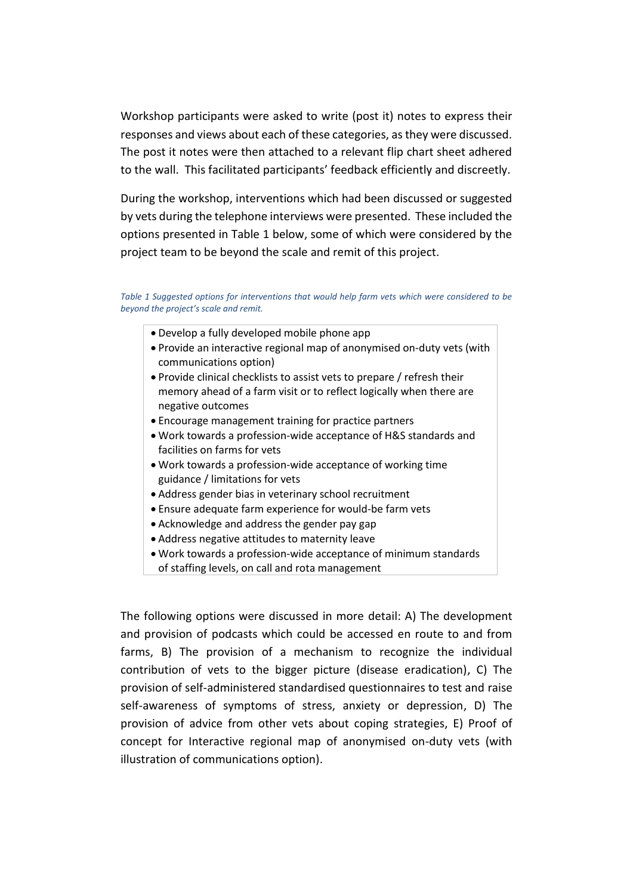Workshop participants were asked to write (post it) notes to express their responses and views about each of these categories, as they were discussed. The post it notes were then attached to a relevant flip chart sheet adhered to the wall. This facilitated participants' feedback efficiently and discreetly.

During the workshop, interventions which had been discussed or suggested by vets during the telephone interviews were presented. These included the options presented in Table 1 below, some of which were considered by the project team to be beyond the scale and remit of this project.

*Table 1 Suggested options for interventions that would help farm vets which were considered to be beyond the project's scale and remit.*

- Develop a fully developed mobile phone app
- Provide an interactive regional map of anonymised on-duty vets (with communications option)
- Provide clinical checklists to assist vets to prepare / refresh their memory ahead of a farm visit or to reflect logically when there are negative outcomes
- Encourage management training for practice partners
- Work towards a profession-wide acceptance of H&S standards and facilities on farms for vets
- Work towards a profession-wide acceptance of working time guidance / limitations for vets
- Address gender bias in veterinary school recruitment
- Ensure adequate farm experience for would-be farm vets
- Acknowledge and address the gender pay gap
- Address negative attitudes to maternity leave
- Work towards a profession-wide acceptance of minimum standards of staffing levels, on call and rota management

The following options were discussed in more detail: A) The development and provision of podcasts which could be accessed en route to and from farms, B) The provision of a mechanism to recognize the individual contribution of vets to the bigger picture (disease eradication), C) The provision of self-administered standardised questionnaires to test and raise self-awareness of symptoms of stress, anxiety or depression, D) The provision of advice from other vets about coping strategies, E) Proof of concept for Interactive regional map of anonymised on-duty vets (with illustration of communications option).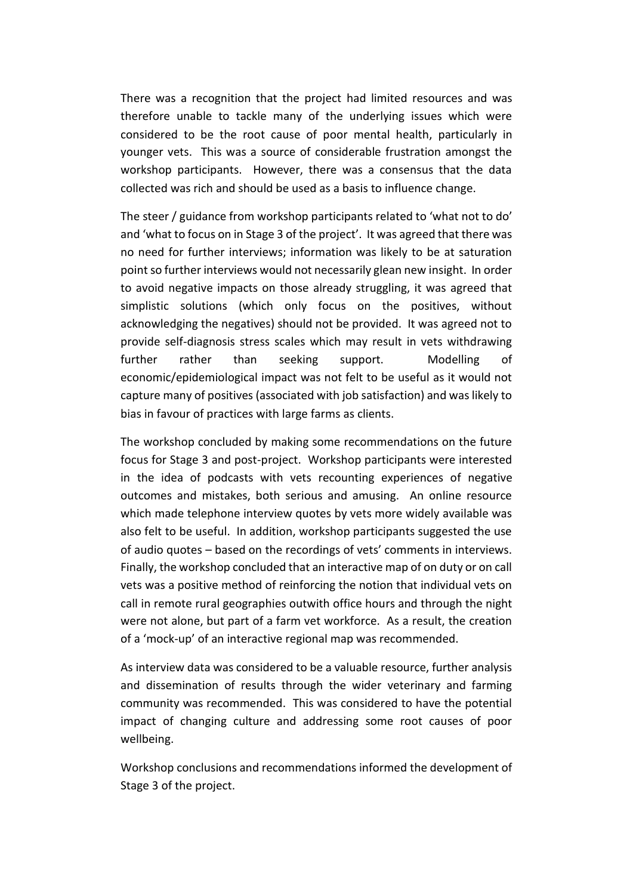There was a recognition that the project had limited resources and was therefore unable to tackle many of the underlying issues which were considered to be the root cause of poor mental health, particularly in younger vets. This was a source of considerable frustration amongst the workshop participants. However, there was a consensus that the data collected was rich and should be used as a basis to influence change.

The steer / guidance from workshop participants related to 'what not to do' and 'what to focus on in Stage 3 of the project'. It was agreed that there was no need for further interviews; information was likely to be at saturation point so further interviews would not necessarily glean new insight. In order to avoid negative impacts on those already struggling, it was agreed that simplistic solutions (which only focus on the positives, without acknowledging the negatives) should not be provided. It was agreed not to provide self-diagnosis stress scales which may result in vets withdrawing further rather than seeking support. Modelling of economic/epidemiological impact was not felt to be useful as it would not capture many of positives (associated with job satisfaction) and was likely to bias in favour of practices with large farms as clients.

The workshop concluded by making some recommendations on the future focus for Stage 3 and post-project. Workshop participants were interested in the idea of podcasts with vets recounting experiences of negative outcomes and mistakes, both serious and amusing. An online resource which made telephone interview quotes by vets more widely available was also felt to be useful. In addition, workshop participants suggested the use of audio quotes – based on the recordings of vets' comments in interviews. Finally, the workshop concluded that an interactive map of on duty or on call vets was a positive method of reinforcing the notion that individual vets on call in remote rural geographies outwith office hours and through the night were not alone, but part of a farm vet workforce. As a result, the creation of a 'mock-up' of an interactive regional map was recommended.

As interview data was considered to be a valuable resource, further analysis and dissemination of results through the wider veterinary and farming community was recommended. This was considered to have the potential impact of changing culture and addressing some root causes of poor wellbeing.

Workshop conclusions and recommendations informed the development of Stage 3 of the project.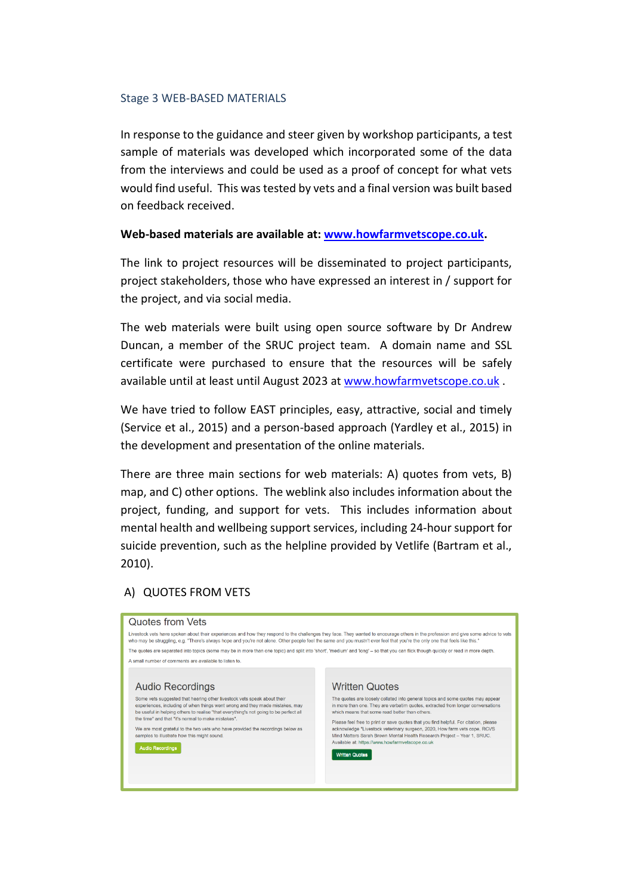#### <span id="page-10-0"></span>Stage 3 WEB-BASED MATERIALS

In response to the guidance and steer given by workshop participants, a test sample of materials was developed which incorporated some of the data from the interviews and could be used as a proof of concept for what vets would find useful. This was tested by vets and a final version was built based on feedback received.

#### **Web-based materials are available at: [www.howfarmvetscope.co.uk.](http://www.howfarmvetscope.co.uk/)**

The link to project resources will be disseminated to project participants, project stakeholders, those who have expressed an interest in / support for the project, and via social media.

The web materials were built using open source software by Dr Andrew Duncan, a member of the SRUC project team. A domain name and SSL certificate were purchased to ensure that the resources will be safely available until at least until August 2023 at [www.howfarmvetscope.co.uk](http://www.howfarmvetscope.co.uk/) .

We have tried to follow EAST principles, easy, attractive, social and timely (Service et al., 2015) and a person-based approach (Yardley et al., 2015) in the development and presentation of the online materials.

There are three main sections for web materials: A) quotes from vets, B) map, and C) other options. The weblink also includes information about the project, funding, and support for vets. This includes information about mental health and wellbeing support services, including 24-hour support for suicide prevention, such as the helpline provided by Vetlife (Bartram et al., 2010).

# A) QUOTES FROM VETS

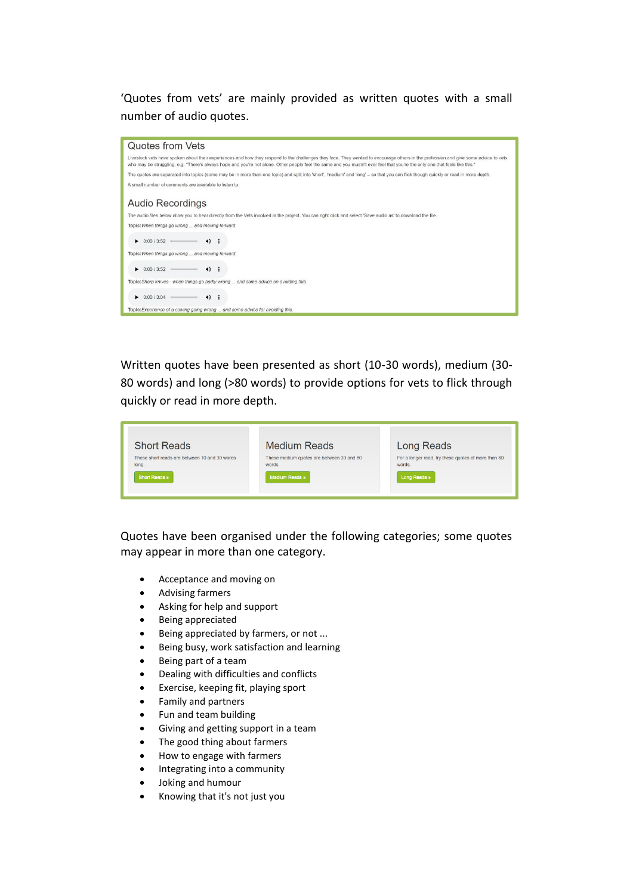'Quotes from vets' are mainly provided as written quotes with a small number of audio quotes.



Written quotes have been presented as short (10-30 words), medium (30- 80 words) and long (>80 words) to provide options for vets to flick through quickly or read in more depth.

| <b>Short Reads</b>                                     | <b>Medium Reads</b>                                 | Long Reads                                                    |
|--------------------------------------------------------|-----------------------------------------------------|---------------------------------------------------------------|
| These short reads are between 10 and 30 words<br>long. | These medium quotes are between 30 and 80<br>words. | For a longer read, try these quotes of more than 80<br>words. |
| <b>Short Reads</b> »                                   | Medium Reads »                                      | Long Reads »                                                  |
|                                                        |                                                     |                                                               |

Quotes have been organised under the following categories; some quotes may appear in more than one category.

- Acceptance and moving on
- Advising farmers
- Asking for help and support
- Being appreciated
- Being appreciated by farmers, or not ...
- Being busy, work satisfaction and learning
- Being part of a team
- Dealing with difficulties and conflicts
- Exercise, keeping fit, playing sport
- Family and partners
- Fun and team building
- Giving and getting support in a team
- The good thing about farmers
- How to engage with farmers
- Integrating into a community
- Joking and humour
- Knowing that it's not just you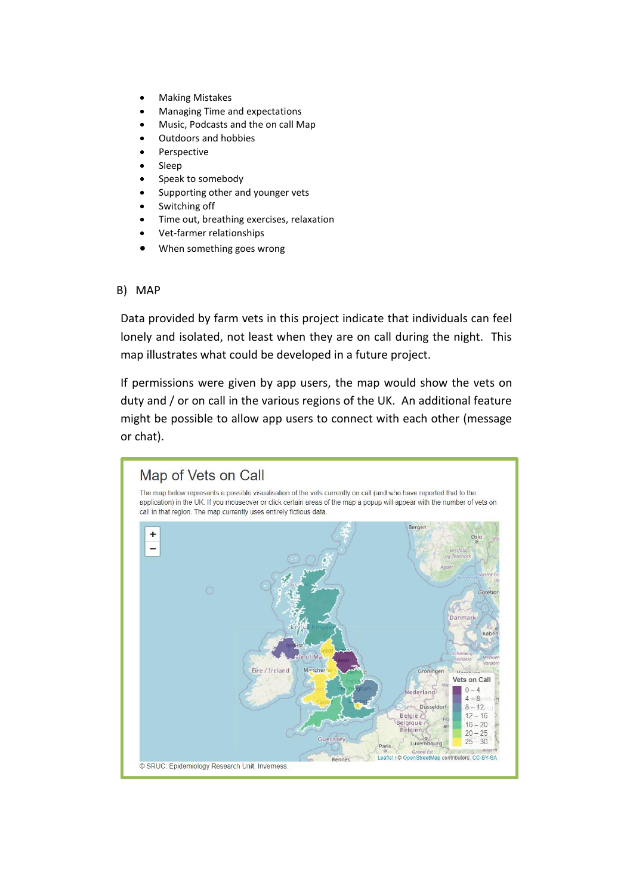- Making Mistakes
- Managing Time and expectations
- Music, Podcasts and the on call Map
- Outdoors and hobbies
- **Perspective**
- Sleep
- Speak to somebody
- Supporting other and younger vets
- Switching off
- Time out, breathing exercises, relaxation
- Vet-farmer relationships
- When something goes wrong

#### B) MAP

Data provided by farm vets in this project indicate that individuals can feel lonely and isolated, not least when they are on call during the night. This map illustrates what could be developed in a future project.

If permissions were given by app users, the map would show the vets on duty and / or on call in the various regions of the UK. An additional feature might be possible to allow app users to connect with each other (message or chat).

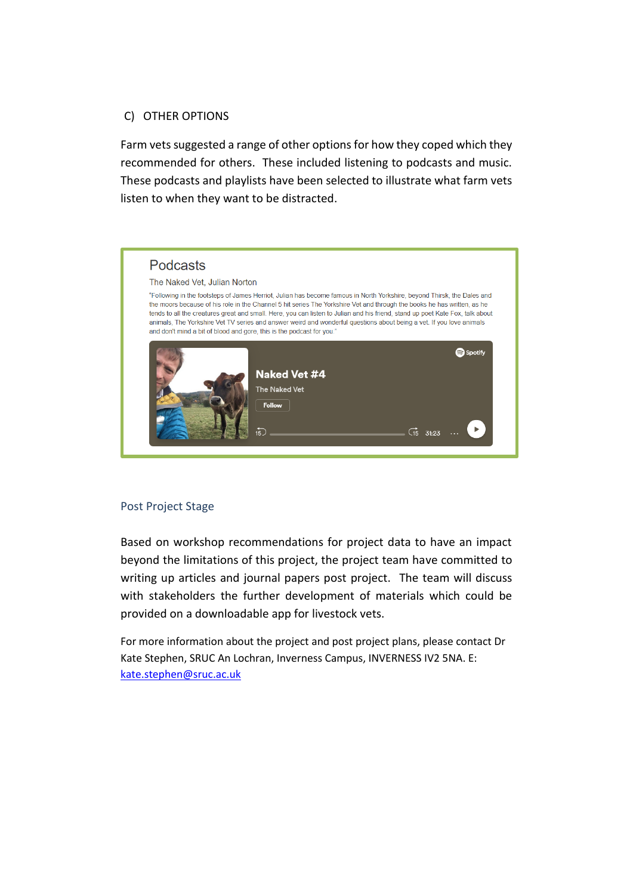# C) OTHER OPTIONS

Farm vets suggested a range of other options for how they coped which they recommended for others. These included listening to podcasts and music. These podcasts and playlists have been selected to illustrate what farm vets listen to when they want to be distracted.



# <span id="page-13-0"></span>Post Project Stage

Based on workshop recommendations for project data to have an impact beyond the limitations of this project, the project team have committed to writing up articles and journal papers post project. The team will discuss with stakeholders the further development of materials which could be provided on a downloadable app for livestock vets.

For more information about the project and post project plans, please contact Dr Kate Stephen, SRUC An Lochran, Inverness Campus, INVERNESS IV2 5NA. E: [kate.stephen@sruc.ac.uk](mailto:kate.stephen@sruc.ac.uk)